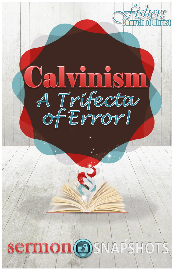



# Sermon OSNAPSHOTS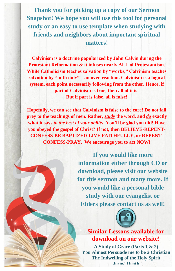**Thank you for picking up a copy of our Sermon Snapshot! We hope you will use this tool for personal study or an easy to use template when studying with friends and neighbors about important spiritual matters!**

**Calvinism is a doctrine popularized by John Calvin during the Protestant Reformation & it infuses nearly ALL of Protestantism. While Catholicism teaches salvation by "works," Calvinism teaches salvation by "faith only" – an over-reaction. Calvinism is a logical system, each point necessarily following from the other. Hence, if part of Calvinism is true, then all of it is! But if part is false, all is false!** 

**Hopefully, we can see that Calvinism is false to the core! Do not fall prey to the teachings of men. Rather,** *study* **the word, and** *do* **exactly what it says** *to the best of your abilit***y. You'll be glad you did! Have you obeyed the gospel of Christ? If not, then BELIEVE-REPENT-CONFESS-BE BAPTIZED-LIVE FAITHFULLY, or REPENT-CONFESS-PRAY. We encourage you to act NOW!**

> **If you would like more information either through CD or download, please visit our website for this sermon and many more. If you would like a personal bible study with our evangelist or Elders please contact us as well!**



**Similar Lessons available for download on our website!**

**A Study of Grace (Parts 1 & 2) You Almost Persuade me to be a Christian The Indwelling of the Holy Spirit Jesus' Death**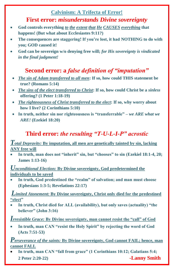#### **Calvinism: A Trifecta of Error!**

#### **First error:** *misunderstands Divine sovereignty*

- **God controls everything** *to the extent that He CAUSES everything* **that happens! (But what about Ecclesiastes 9:11?)**
- **The consequences are staggering! If you're lost, it had NOTHING to do with you; GOD caused it!**
- **God can be sovereign w/o denying free will;** *for His sovereignty is vindicated in the final judgment!*

#### **Second error: a** *false definition of "imputation"*

- *The sin of Adam transferred to all men***: If so, how could THIS statement be true? (Romans 5:14)**
- *The sins of the elect transferred to Christ***: If so, how could Christ be a** *sinless* **offering? (1 Peter 1:18-19)**
- *The righteousness of Christ transferred to the elect***: If so, why worry about how I live? (2 Corinthians 5:10)**
- **In truth, neither sin nor righteousness is "transferrable" –** *we ARE what we ARE!* **(Ezekiel 18:20)**

#### **Third error:** *the resulting "T-U-L-I-P" acrostic*

*Total Depravity:* **By imputation, all men are genetically tainted by sin, lacking ANY free will**

 **In truth, man does not "inherit" sin, but "chooses" to sin (Ezekiel 18:1-4, 20; James 1:13-16)**

*Unconditional Election:* **By Divine sovereignty, God predetermined the individuals to be saved**

 **In truth, God predestined the "realm" of salvation; and man must choose (Ephesians 1:3-5; Revelations 22:17)**

*Limited Atonement:* **By Divine sovereignty, Christ only died for the predestined "elect"**

 **In truth, Christ died for ALL (availability), but only saves (actuality) "the believer" (John 3:16)**

*Irresistible Grace:* **By Divine sovereignty, man cannot resist the "call" of God**

 **In truth, man CAN "resist the Holy Spirit" by rejecting the word of God (Acts 7:51-53)**

*Perseverance of the saints:* **By Divine sovereignty, God cannot FAIL; hence, man cannot FALL**

 **In truth, man CAN "fall from grace" (1 Corinthians 10:12; Galatians 5:4; 2 Peter 2:20-22) -Lanny Smith**